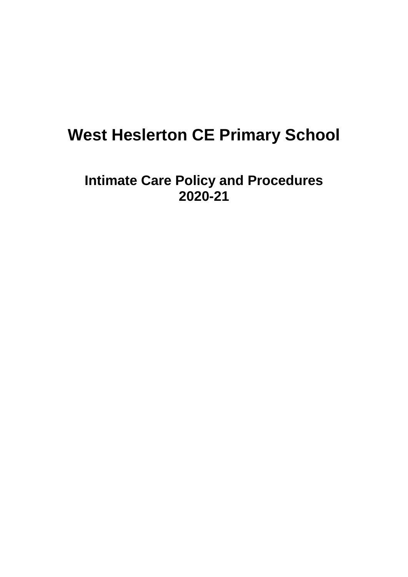# **West Heslerton CE Primary School**

**Intimate Care Policy and Procedures 2020-21**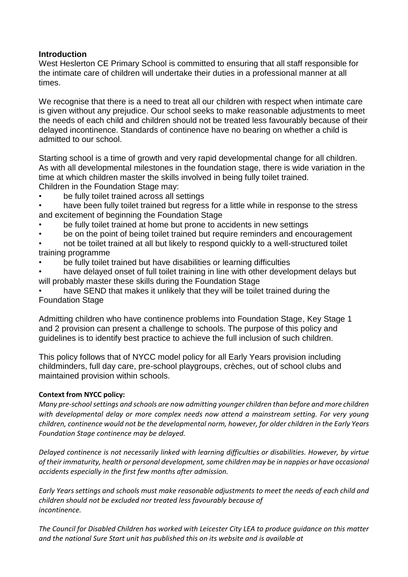## **Introduction**

West Heslerton CE Primary School is committed to ensuring that all staff responsible for the intimate care of children will undertake their duties in a professional manner at all times.

We recognise that there is a need to treat all our children with respect when intimate care is given without any prejudice. Our school seeks to make reasonable adjustments to meet the needs of each child and children should not be treated less favourably because of their delayed incontinence. Standards of continence have no bearing on whether a child is admitted to our school.

Starting school is a time of growth and very rapid developmental change for all children. As with all developmental milestones in the foundation stage, there is wide variation in the time at which children master the skills involved in being fully toilet trained. Children in the Foundation Stage may:

- be fully toilet trained across all settings
- have been fully toilet trained but regress for a little while in response to the stress and excitement of beginning the Foundation Stage
- be fully toilet trained at home but prone to accidents in new settings
- be on the point of being toilet trained but require reminders and encouragement
- not be toilet trained at all but likely to respond quickly to a well-structured toilet training programme
- be fully toilet trained but have disabilities or learning difficulties
- have delayed onset of full toilet training in line with other development delays but will probably master these skills during the Foundation Stage
- have SEND that makes it unlikely that they will be toilet trained during the Foundation Stage

Admitting children who have continence problems into Foundation Stage, Key Stage 1 and 2 provision can present a challenge to schools. The purpose of this policy and guidelines is to identify best practice to achieve the full inclusion of such children.

This policy follows that of NYCC model policy for all Early Years provision including childminders, full day care, pre-school playgroups, crèches, out of school clubs and maintained provision within schools.

## **Context from NYCC policy:**

*Many pre-school settings and schools are now admitting younger children than before and more children with developmental delay or more complex needs now attend a mainstream setting. For very young children, continence would not be the developmental norm, however, for older children in the Early Years Foundation Stage continence may be delayed.*

*Delayed continence is not necessarily linked with learning difficulties or disabilities. However, by virtue of their immaturity, health or personal development, some children may be in nappies or have occasional accidents especially in the first few months after admission.* 

*Early Years settings and schools must make reasonable adjustments to meet the needs of each child and children should not be excluded nor treated less favourably because of incontinence.*

*The Council for Disabled Children has worked with Leicester City LEA to produce guidance on this matter and the national Sure Start unit has published this on its website and is available at*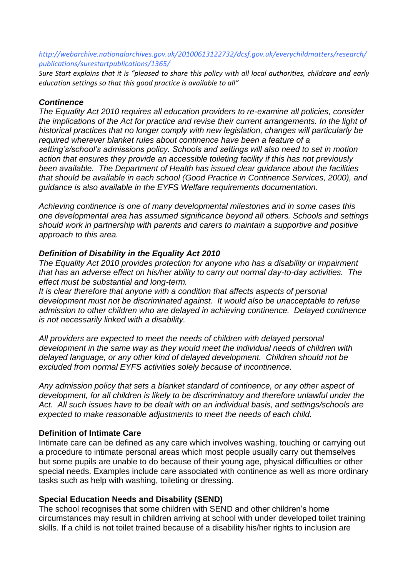#### *http://webarchive.nationalarchives.gov.uk/20100613122732/dcsf.gov.uk/everychildmatters/research/ publications/surestartpublications/1365/*

*Sure Start explains that it is "pleased to share this policy with all local authorities, childcare and early education settings so that this good practice is available to all"*

#### *Continence*

*The Equality Act 2010 requires all education providers to re-examine all policies, consider the implications of the Act for practice and revise their current arrangements. In the light of historical practices that no longer comply with new legislation, changes will particularly be required wherever blanket rules about continence have been a feature of a setting's/school's admissions policy. Schools and settings will also need to set in motion action that ensures they provide an accessible toileting facility if this has not previously been available. The Department of Health has issued clear guidance about the facilities that should be available in each school (Good Practice in Continence Services, 2000), and guidance is also available in the EYFS Welfare requirements documentation.*

*Achieving continence is one of many developmental milestones and in some cases this one developmental area has assumed significance beyond all others. Schools and settings should work in partnership with parents and carers to maintain a supportive and positive approach to this area.*

## *Definition of Disability in the Equality Act 2010*

*The Equality Act 2010 provides protection for anyone who has a disability or impairment that has an adverse effect on his/her ability to carry out normal day-to-day activities. The effect must be substantial and long-term.* 

*It is clear therefore that anyone with a condition that affects aspects of personal development must not be discriminated against. It would also be unacceptable to refuse admission to other children who are delayed in achieving continence. Delayed continence is not necessarily linked with a disability.* 

*All providers are expected to meet the needs of children with delayed personal development in the same way as they would meet the individual needs of children with delayed language, or any other kind of delayed development. Children should not be excluded from normal EYFS activities solely because of incontinence.* 

*Any admission policy that sets a blanket standard of continence, or any other aspect of development, for all children is likely to be discriminatory and therefore unlawful under the Act. All such issues have to be dealt with on an individual basis, and settings/schools are expected to make reasonable adjustments to meet the needs of each child.* 

## **Definition of Intimate Care**

Intimate care can be defined as any care which involves washing, touching or carrying out a procedure to intimate personal areas which most people usually carry out themselves but some pupils are unable to do because of their young age, physical difficulties or other special needs. Examples include care associated with continence as well as more ordinary tasks such as help with washing, toileting or dressing.

## **Special Education Needs and Disability (SEND)**

The school recognises that some children with SEND and other children's home circumstances may result in children arriving at school with under developed toilet training skills. If a child is not toilet trained because of a disability his/her rights to inclusion are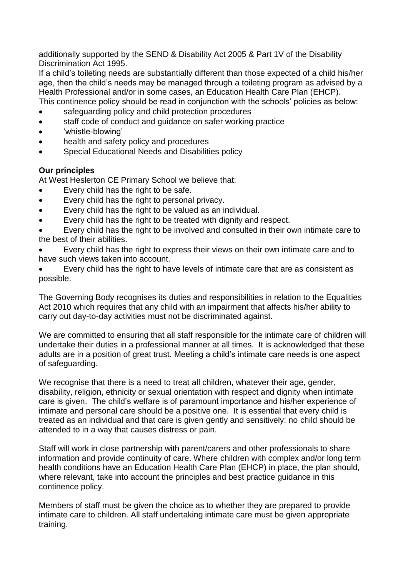additionally supported by the SEND & Disability Act 2005 & Part 1V of the Disability Discrimination Act 1995.

If a child's toileting needs are substantially different than those expected of a child his/her age, then the child's needs may be managed through a toileting program as advised by a Health Professional and/or in some cases, an Education Health Care Plan (EHCP). This continence policy should be read in conjunction with the schools' policies as below:

- safeguarding policy and child protection procedures
- staff code of conduct and guidance on safer working practice
- 'whistle-blowing'
- health and safety policy and procedures
- Special Educational Needs and Disabilities policy

## **Our principles**

At West Heslerton CE Primary School we believe that:

- Every child has the right to be safe.
- Every child has the right to personal privacy.
- Every child has the right to be valued as an individual.
- Every child has the right to be treated with dignity and respect.

• Every child has the right to be involved and consulted in their own intimate care to the best of their abilities.

• Every child has the right to express their views on their own intimate care and to have such views taken into account.

• Every child has the right to have levels of intimate care that are as consistent as possible.

The Governing Body recognises its duties and responsibilities in relation to the Equalities Act 2010 which requires that any child with an impairment that affects his/her ability to carry out day-to-day activities must not be discriminated against.

We are committed to ensuring that all staff responsible for the intimate care of children will undertake their duties in a professional manner at all times. It is acknowledged that these adults are in a position of great trust. Meeting a child's intimate care needs is one aspect of safeguarding.

We recognise that there is a need to treat all children, whatever their age, gender, disability, religion, ethnicity or sexual orientation with respect and dignity when intimate care is given. The child's welfare is of paramount importance and his/her experience of intimate and personal care should be a positive one. It is essential that every child is treated as an individual and that care is given gently and sensitively: no child should be attended to in a way that causes distress or pain.

Staff will work in close partnership with parent/carers and other professionals to share information and provide continuity of care. Where children with complex and/or long term health conditions have an Education Health Care Plan (EHCP) in place, the plan should, where relevant, take into account the principles and best practice guidance in this continence policy.

Members of staff must be given the choice as to whether they are prepared to provide intimate care to children. All staff undertaking intimate care must be given appropriate training.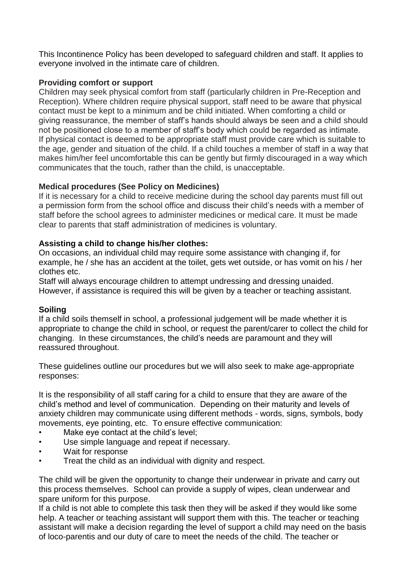This Incontinence Policy has been developed to safeguard children and staff. It applies to everyone involved in the intimate care of children.

## **Providing comfort or support**

Children may seek physical comfort from staff (particularly children in Pre-Reception and Reception). Where children require physical support, staff need to be aware that physical contact must be kept to a minimum and be child initiated. When comforting a child or giving reassurance, the member of staff's hands should always be seen and a child should not be positioned close to a member of staff's body which could be regarded as intimate. If physical contact is deemed to be appropriate staff must provide care which is suitable to the age, gender and situation of the child. If a child touches a member of staff in a way that makes him/her feel uncomfortable this can be gently but firmly discouraged in a way which communicates that the touch, rather than the child, is unacceptable.

## **Medical procedures (See Policy on Medicines)**

If it is necessary for a child to receive medicine during the school day parents must fill out a permission form from the school office and discuss their child's needs with a member of staff before the school agrees to administer medicines or medical care. It must be made clear to parents that staff administration of medicines is voluntary.

## **Assisting a child to change his/her clothes:**

On occasions, an individual child may require some assistance with changing if, for example, he / she has an accident at the toilet, gets wet outside, or has vomit on his / her clothes etc.

Staff will always encourage children to attempt undressing and dressing unaided. However, if assistance is required this will be given by a teacher or teaching assistant.

# **Soiling**

If a child soils themself in school, a professional judgement will be made whether it is appropriate to change the child in school, or request the parent/carer to collect the child for changing. In these circumstances, the child's needs are paramount and they will reassured throughout.

These guidelines outline our procedures but we will also seek to make age-appropriate responses:

It is the responsibility of all staff caring for a child to ensure that they are aware of the child's method and level of communication. Depending on their maturity and levels of anxiety children may communicate using different methods - words, signs, symbols, body movements, eye pointing, etc. To ensure effective communication:

- Make eye contact at the child's level;
- Use simple language and repeat if necessary.
- Wait for response
- Treat the child as an individual with dignity and respect.

The child will be given the opportunity to change their underwear in private and carry out this process themselves. School can provide a supply of wipes, clean underwear and spare uniform for this purpose.

If a child is not able to complete this task then they will be asked if they would like some help. A teacher or teaching assistant will support them with this. The teacher or teaching assistant will make a decision regarding the level of support a child may need on the basis of loco-parentis and our duty of care to meet the needs of the child. The teacher or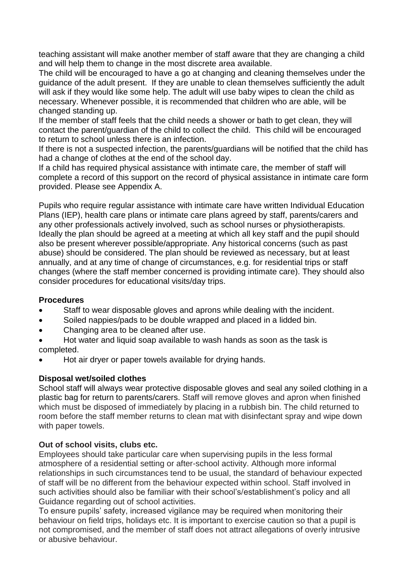teaching assistant will make another member of staff aware that they are changing a child and will help them to change in the most discrete area available.

The child will be encouraged to have a go at changing and cleaning themselves under the guidance of the adult present. If they are unable to clean themselves sufficiently the adult will ask if they would like some help. The adult will use baby wipes to clean the child as necessary. Whenever possible, it is recommended that children who are able, will be changed standing up.

If the member of staff feels that the child needs a shower or bath to get clean, they will contact the parent/guardian of the child to collect the child. This child will be encouraged to return to school unless there is an infection.

If there is not a suspected infection, the parents/guardians will be notified that the child has had a change of clothes at the end of the school day.

If a child has required physical assistance with intimate care, the member of staff will complete a record of this support on the record of physical assistance in intimate care form provided. Please see Appendix A.

Pupils who require regular assistance with intimate care have written Individual Education Plans (IEP), health care plans or intimate care plans agreed by staff, parents/carers and any other professionals actively involved, such as school nurses or physiotherapists. Ideally the plan should be agreed at a meeting at which all key staff and the pupil should also be present wherever possible/appropriate. Any historical concerns (such as past abuse) should be considered. The plan should be reviewed as necessary, but at least annually, and at any time of change of circumstances, e.g. for residential trips or staff changes (where the staff member concerned is providing intimate care). They should also consider procedures for educational visits/day trips.

## **Procedures**

- Staff to wear disposable gloves and aprons while dealing with the incident.
- Soiled nappies/pads to be double wrapped and placed in a lidded bin.
- Changing area to be cleaned after use.
- Hot water and liquid soap available to wash hands as soon as the task is completed.
- Hot air dryer or paper towels available for drying hands.

# **Disposal wet/soiled clothes**

School staff will always wear protective disposable gloves and seal any soiled clothing in a plastic bag for return to parents/carers. Staff will remove gloves and apron when finished which must be disposed of immediately by placing in a rubbish bin. The child returned to room before the staff member returns to clean mat with disinfectant spray and wipe down with paper towels.

# **Out of school visits, clubs etc.**

Employees should take particular care when supervising pupils in the less formal atmosphere of a residential setting or after-school activity. Although more informal relationships in such circumstances tend to be usual, the standard of behaviour expected of staff will be no different from the behaviour expected within school. Staff involved in such activities should also be familiar with their school's/establishment's policy and all Guidance regarding out of school activities.

To ensure pupils' safety, increased vigilance may be required when monitoring their behaviour on field trips, holidays etc. It is important to exercise caution so that a pupil is not compromised, and the member of staff does not attract allegations of overly intrusive or abusive behaviour.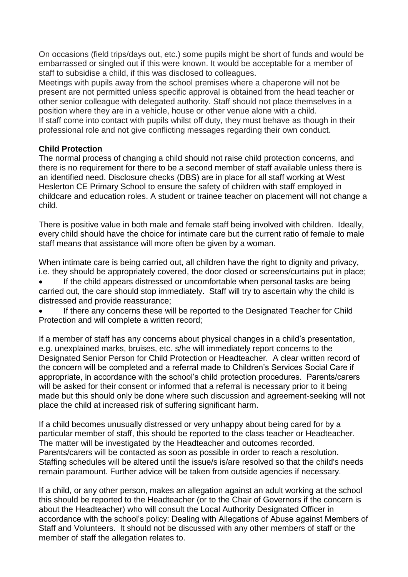On occasions (field trips/days out, etc.) some pupils might be short of funds and would be embarrassed or singled out if this were known. It would be acceptable for a member of staff to subsidise a child, if this was disclosed to colleagues.

Meetings with pupils away from the school premises where a chaperone will not be present are not permitted unless specific approval is obtained from the head teacher or other senior colleague with delegated authority. Staff should not place themselves in a position where they are in a vehicle, house or other venue alone with a child. If staff come into contact with pupils whilst off duty, they must behave as though in their professional role and not give conflicting messages regarding their own conduct.

## **Child Protection**

The normal process of changing a child should not raise child protection concerns, and there is no requirement for there to be a second member of staff available unless there is an identified need. Disclosure checks (DBS) are in place for all staff working at West Heslerton CE Primary School to ensure the safety of children with staff employed in childcare and education roles. A student or trainee teacher on placement will not change a child.

There is positive value in both male and female staff being involved with children. Ideally, every child should have the choice for intimate care but the current ratio of female to male staff means that assistance will more often be given by a woman.

When intimate care is being carried out, all children have the right to dignity and privacy, i.e. they should be appropriately covered, the door closed or screens/curtains put in place;

• If the child appears distressed or uncomfortable when personal tasks are being carried out, the care should stop immediately. Staff will try to ascertain why the child is distressed and provide reassurance;

If there any concerns these will be reported to the Designated Teacher for Child Protection and will complete a written record;

If a member of staff has any concerns about physical changes in a child's presentation, e.g. unexplained marks, bruises, etc. s/he will immediately report concerns to the Designated Senior Person for Child Protection or Headteacher. A clear written record of the concern will be completed and a referral made to Children's Services Social Care if appropriate, in accordance with the school's child protection procedures. Parents/carers will be asked for their consent or informed that a referral is necessary prior to it being made but this should only be done where such discussion and agreement-seeking will not place the child at increased risk of suffering significant harm.

If a child becomes unusually distressed or very unhappy about being cared for by a particular member of staff, this should be reported to the class teacher or Headteacher. The matter will be investigated by the Headteacher and outcomes recorded. Parents/carers will be contacted as soon as possible in order to reach a resolution. Staffing schedules will be altered until the issue/s is/are resolved so that the child's needs remain paramount. Further advice will be taken from outside agencies if necessary.

If a child, or any other person, makes an allegation against an adult working at the school this should be reported to the Headteacher (or to the Chair of Governors if the concern is about the Headteacher) who will consult the Local Authority Designated Officer in accordance with the school's policy: Dealing with Allegations of Abuse against Members of Staff and Volunteers. It should not be discussed with any other members of staff or the member of staff the allegation relates to.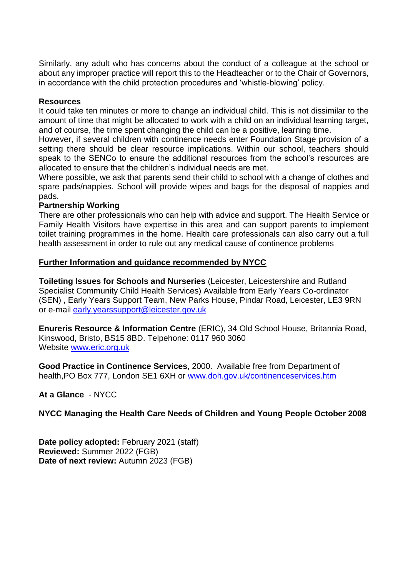Similarly, any adult who has concerns about the conduct of a colleague at the school or about any improper practice will report this to the Headteacher or to the Chair of Governors, in accordance with the child protection procedures and 'whistle-blowing' policy.

#### **Resources**

It could take ten minutes or more to change an individual child. This is not dissimilar to the amount of time that might be allocated to work with a child on an individual learning target, and of course, the time spent changing the child can be a positive, learning time.

However, if several children with continence needs enter Foundation Stage provision of a setting there should be clear resource implications. Within our school, teachers should speak to the SENCo to ensure the additional resources from the school's resources are allocated to ensure that the children's individual needs are met.

Where possible, we ask that parents send their child to school with a change of clothes and spare pads/nappies. School will provide wipes and bags for the disposal of nappies and pads.

#### **Partnership Working**

There are other professionals who can help with advice and support. The Health Service or Family Health Visitors have expertise in this area and can support parents to implement toilet training programmes in the home. Health care professionals can also carry out a full health assessment in order to rule out any medical cause of continence problems

#### **Further Information and guidance recommended by NYCC**

**Toileting Issues for Schools and Nurseries** (Leicester, Leicestershire and Rutland Specialist Community Child Health Services) Available from Early Years Co-ordinator (SEN) , Early Years Support Team, New Parks House, Pindar Road, Leicester, LE3 9RN or e-mail [early.yearssupport@leicester.gov.uk](mailto:early.yearssupport@leicester.gov.uk)

**Enureris Resource & Information Centre** (ERIC), 34 Old School House, Britannia Road, Kinswood, Bristo, BS15 8BD. Telpehone: 0117 960 3060 Website [www.eric.org.uk](http://www.eric.org.uk/)

**Good Practice in Continence Services**, 2000. Available free from Department of health,PO Box 777, London SE1 6XH or [www.doh.gov.uk/continenceservices.htm](http://www.doh.gov.uk/continenceservices.htm)

## **At a Glance** - NYCC

## **NYCC Managing the Health Care Needs of Children and Young People October 2008**

**Date policy adopted:** February 2021 (staff) **Reviewed:** Summer 2022 (FGB) **Date of next review:** Autumn 2023 (FGB)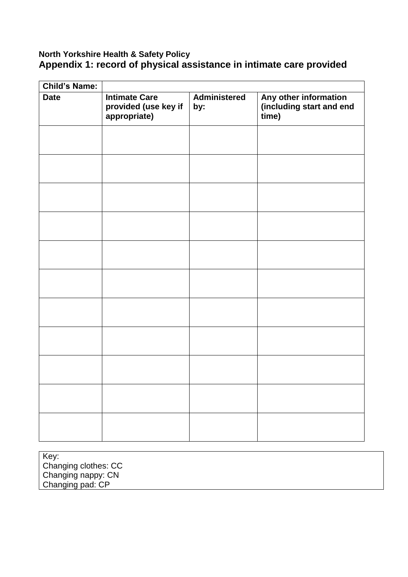# **North Yorkshire Health & Safety Policy Appendix 1: record of physical assistance in intimate care provided**

| <b>Child's Name:</b> |                                                              |                     |                                                            |
|----------------------|--------------------------------------------------------------|---------------------|------------------------------------------------------------|
| <b>Date</b>          | <b>Intimate Care</b><br>provided (use key if<br>appropriate) | Administered<br>by: | Any other information<br>(including start and end<br>time) |
|                      |                                                              |                     |                                                            |
|                      |                                                              |                     |                                                            |
|                      |                                                              |                     |                                                            |
|                      |                                                              |                     |                                                            |
|                      |                                                              |                     |                                                            |
|                      |                                                              |                     |                                                            |
|                      |                                                              |                     |                                                            |
|                      |                                                              |                     |                                                            |
|                      |                                                              |                     |                                                            |
|                      |                                                              |                     |                                                            |
|                      |                                                              |                     |                                                            |

Key: Changing clothes: CC Changing nappy: CN Changing pad: CP